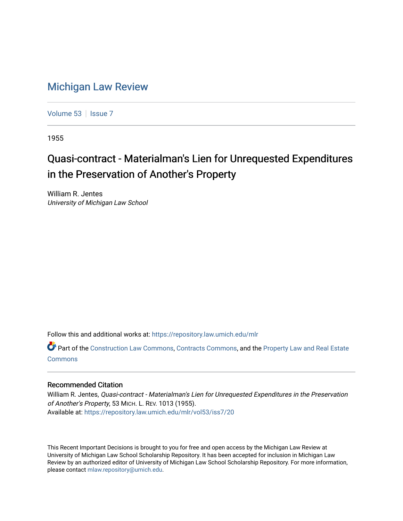## [Michigan Law Review](https://repository.law.umich.edu/mlr)

[Volume 53](https://repository.law.umich.edu/mlr/vol53) | [Issue 7](https://repository.law.umich.edu/mlr/vol53/iss7)

1955

## Quasi-contract - Materialman's Lien for Unrequested Expenditures in the Preservation of Another's Property

William R. Jentes University of Michigan Law School

Follow this and additional works at: [https://repository.law.umich.edu/mlr](https://repository.law.umich.edu/mlr?utm_source=repository.law.umich.edu%2Fmlr%2Fvol53%2Fiss7%2F20&utm_medium=PDF&utm_campaign=PDFCoverPages) 

Part of the [Construction Law Commons,](http://network.bepress.com/hgg/discipline/590?utm_source=repository.law.umich.edu%2Fmlr%2Fvol53%2Fiss7%2F20&utm_medium=PDF&utm_campaign=PDFCoverPages) [Contracts Commons](http://network.bepress.com/hgg/discipline/591?utm_source=repository.law.umich.edu%2Fmlr%2Fvol53%2Fiss7%2F20&utm_medium=PDF&utm_campaign=PDFCoverPages), and the [Property Law and Real Estate](http://network.bepress.com/hgg/discipline/897?utm_source=repository.law.umich.edu%2Fmlr%2Fvol53%2Fiss7%2F20&utm_medium=PDF&utm_campaign=PDFCoverPages) [Commons](http://network.bepress.com/hgg/discipline/897?utm_source=repository.law.umich.edu%2Fmlr%2Fvol53%2Fiss7%2F20&utm_medium=PDF&utm_campaign=PDFCoverPages)

## Recommended Citation

William R. Jentes, Quasi-contract - Materialman's Lien for Unrequested Expenditures in the Preservation of Another's Property, 53 MICH. L. REV. 1013 (1955). Available at: [https://repository.law.umich.edu/mlr/vol53/iss7/20](https://repository.law.umich.edu/mlr/vol53/iss7/20?utm_source=repository.law.umich.edu%2Fmlr%2Fvol53%2Fiss7%2F20&utm_medium=PDF&utm_campaign=PDFCoverPages) 

This Recent Important Decisions is brought to you for free and open access by the Michigan Law Review at University of Michigan Law School Scholarship Repository. It has been accepted for inclusion in Michigan Law Review by an authorized editor of University of Michigan Law School Scholarship Repository. For more information, please contact [mlaw.repository@umich.edu.](mailto:mlaw.repository@umich.edu)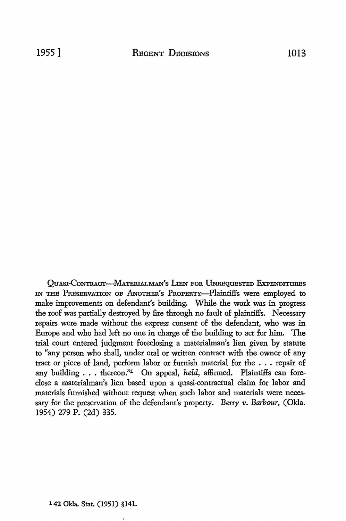QuAsr-CoNTRACT-MATERIALMAN's LI:EN FOR UNREQUESTED EXPENDITURES IN THE PRESERVATION OF ANoTHER's PROPERTY-Plaintiffs were employed to make improvements on defendant's building. While the work was in progress the roof was partially destroyed by fire through no fault of plaintiffs. Necessary repairs were made without the express consent of the defendant, who was in Europe and who had left no one in charge of the building to act for him. The trial court entered judgment foreclosing a materialman's lien given by statute to "any person who shall, under oral or written contract with the owner of any tract or piece of land, perform labor or furnish material for the . . • repair of any building . . . thereon."<sup>1</sup> On appeal, *held*, affirmed. Plaintiffs can foreclose a materialman's lien based upon a quasi-contractual claim for labor and materials furnished without request when such labor and materials were necessary for the preservation of the defendant's property. *Berry v. Barbour,* (Okla. 1954) 279 P. (2d) 335.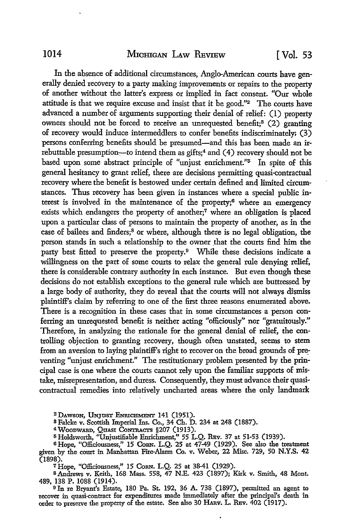In the absence of additional circumstances, Anglo-American courts have generally denied recovery to a party making improvements or repairs to the property of another without the latter's express or implied in fact consent. "Our whole attitude is that we require excuse and insist that it be good."2 The courts have advanced a number of arguments supporting their denial of relief: (I) property owners should not be forced to receive an unrequested benefit;8 (2) granting of recovery would induce intermeddlers to confer benefits indiscriminately; (3) persons conferring benefits should be presumed-and this has been made an irrebuttable presumption---to intend them as gifts;<sup>4</sup> and  $(4)$  recovery should not be based upon some abstract principle of "unjust enrichment."5 In spite of this general hesitancy to grant relief, there are decisions permitting quasi-contractual recovery where the benefit is bestowed under certain defined and limited circumstances. Thus recovery has been given in instances where a special public interest is involved in the maintenance of the property;6 where an emergency exists which endangers the property of another;<sup>7</sup> where an obligation is placed upon a particular class of persons to maintain the property of another, as in the case of bailees and finders;<sup>8</sup>or where, although there is no legal obligation, the person stands in such a relationship to the owner that the courts find him the party best fitted to preserve the property.<sup>9</sup> While these decisions indicate a willingness on the part of some courts to relax the general rule denying relief, there is considerable contrary authority in each instance. But even though these decisions do not establish exceptions to the general rule which are buttressed by a large body of authority, they do reveal that the courts will not always dismiss plaintiff's claim by referring to one of the first three reasons enumerated above. There is a recognition in these cases that in some circumstances a person conferring an unrequested benefit is neither acting "officiously" nor "gratuitously." Therefore, in analyzing the rationale for the general denial of relief, the controlling objection to granting recovery, though often unstated, seems to stem from an aversion to laying plaintiff's right to recover on the broad grounds of preventing "unjust enrichment." The restitutionary problem presented by the principal case is one where the courts cannot rely upon the familiar supports of mistake, misrepresentation, and duress. Consequently, they must advance their quasicontractual remedies into relatively uncharted areas where the only landmark

<sup>2</sup> Dawson, Unjust Enrichment 141 (1951).<br><sup>3</sup> Falcke v. Scottish Imperial Ins. Co., 34 Ch. D. 234 at 248 (1887).<br><sup>4</sup> Woodward, Quasi Contracrs §207 (1913).

<sup>5</sup>Holdsworth, "Unjustifiable Enrichment," 55 L.Q. REv. 37 at 51-53 (1939).

<sup>6</sup> Hope, "Officiousness," 15 CoRN. L.Q. 25 at 47-49 (1929). See also the treatment given by the court in Manhattan Fire-Alarm Co. v. Weber, 22 Misc. 729, 50 N.Y.S. 42 (1898).

 $7$  Hope, "Officiousness," 15 CoRN. L.Q. 25 at 38-41 (1929).<br>8 Andrews v. Keith, 168 Mass. 558, 47 N.E. 423 (1897); Kirk v. Smith, 48 Mont. 489, 138 P. 1088 (1914).

<sup>9</sup>In re Bryant's Estate, 180 Pa. St. 192, 36 A. 738 (1897), permitted an agent to recover in quasi-contract for expenditures made immediately after the principal's death in order to preserve the property of the estate. See also 30 HARv. L. REv. 402 (1917).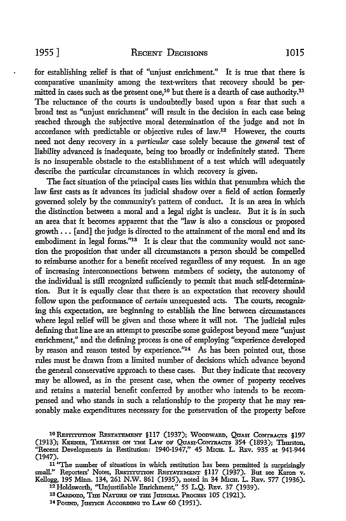for establishing relief is that of "unjust enrichment." It is true that there is comparative unanimity among the text-writers that recovery should be permitted in cases such as the present one,<sup>10</sup> but there is a dearth of case authority.<sup>11</sup> The reluctance of the courts is undoubtedly based upon a fear that such a broad test as "unjust enrichment" will result in the decision in each case being reached through the subjective moral determination of the judge and not in accordance with predictable or objective rules of law.<sup>12</sup> However, the courts need not deny recovery in a *particular* case solely because the *general* test of liability advanced is inadequate, being too broadly or indefinitely stated. There is no insuperable obstacle to the establishment of a test which will adequately

describe the particular circumstances in which recovery is given. The fact situation of the principal cases lies within that penumbra which the law first casts as it advances its judicial shadow over a field of action formerly governed solely by the community's pattern of conduct. It is an area in which the distinction between a moral and a legal right is unclear. But it is in such an area that it becomes apparent that the "law is also a conscious or proposed growth ... [and] the judge is directed to the attainment of the moral end and its embodiment in legal forms."13 It is clear that the community would not sanction the proposition that under all circumstances a person should be compelled to reimburse another for a benefit received regardless of any request. In an age of increasing interconnections between members of society, the autonomy of the individual is still recognized sufficiently to permit that much self-determination. But it is equally clear that there is an expectation that recovery should follow upon the performance of *certain* unrequested acts. The courts, recognizing this expectation, are beginning to establish the line between circumstances where legal relief will be given and those where it will not. The judicial rules defining that line are an attempt to prescribe some guidepost beyond mere "unjust enrichment," and the defining process is one of employing "experience developed by reason and reason tested by experience."14 As has been pointed out, those rules must be drawn from a limited number of decisions which advance beyond the general conservative approach to these cases. But they indicate that recovery may be allowed, as in the present case, when the owner of property receives and retains a material benefit conferred by another who intends to be recompensed and who stands in such a relationship to the property that he may reasonably make expenditures necessary for the preservation of the property before

10 RESTITUTION RESTATEMENT §117 (1937); WOODWARD, QUASI CONTRACTS §197 (1913); KEENER, TREATISE ON THE LAw OF QuAst·CoNTRAcrs 354 (1893); Thurston, "Recent Developments in Restitution: 1940-1947," 45 MICH. L. REv. 935 at 941-944 (1947).

<sup>11</sup>"The number of situations in which restitution has been permitted is surprisingly small." Reporters' Notes, REsTITm'ION REsTATBMBNT §117 (1937). But see Karon v. Kellogg, 195 Minn. 134, 261 N.W. 861 (1935), noted in 34 MrcH. L. REv. 577 (1936).

12 Holdsworth, ''Unjustifiable Enrichment," 55 L.Q. REv. 37 (1939). <sup>13</sup> CARDOZO, THE NATURE OF THE JUDICIAL PROCESS 105 (1921).

<sup>14</sup> Pound, Justice According to Law 60 (1951).